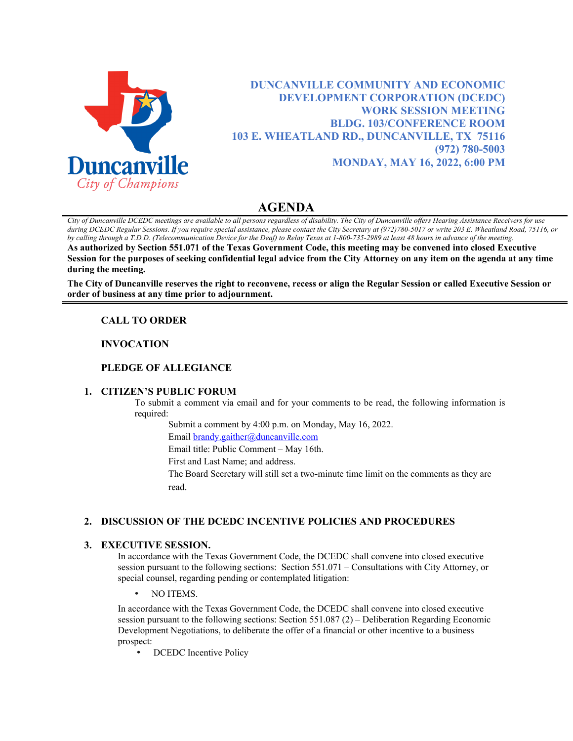

**DUNCANVILLE COMMUNITY AND ECONOMIC DEVELOPMENT CORPORATION (DCEDC) WORK SESSION MEETING BLDG. 103/CONFERENCE ROOM 103 E. WHEATLAND RD., DUNCANVILLE, TX 75116 (972) 780-5003 MONDAY, MAY 16, 2022, 6:00 PM**

# **AGENDA**

*City of Duncanville DCEDC meetings are available to all persons regardless of disability. The City of Duncanville offers Hearing Assistance Receivers for use during DCEDC Regular Sessions. If you require special assistance, please contact the City Secretary at (972)780-5017 or write 203 E. Wheatland Road, 75116, or by calling through a T.D.D. (Telecommunication Device for the Deaf) to Relay Texas at 1-800-735-2989 at least 48 hours in advance of the meeting.*  **As authorized by Section 551.071 of the Texas Government Code, this meeting may be convened into closed Executive Session for the purposes of seeking confidential legal advice from the City Attorney on any item on the agenda at any time during the meeting.**

**The City of Duncanville reserves the right to reconvene, recess or align the Regular Session or called Executive Session or order of business at any time prior to adjournment.**

## **CALL TO ORDER**

### **INVOCATION**

## **PLEDGE OF ALLEGIANCE**

### **1. CITIZEN'S PUBLIC FORUM**

To submit a comment via email and for your comments to be read, the following information is required:

Submit a comment by 4:00 p.m. on Monday, May 16, 2022.

Email [brandy.gaither@duncanville.com](mailto:brandy.gaither@duncanville.com)

Email title: Public Comment – May 16th.

First and Last Name; and address.

The Board Secretary will still set a two-minute time limit on the comments as they are read.

### **2. DISCUSSION OF THE DCEDC INCENTIVE POLICIES AND PROCEDURES**

### **3. EXECUTIVE SESSION.**

In accordance with the Texas Government Code, the DCEDC shall convene into closed executive session pursuant to the following sections: Section 551.071 – Consultations with City Attorney, or special counsel, regarding pending or contemplated litigation:

• NO ITEMS.

In accordance with the Texas Government Code, the DCEDC shall convene into closed executive session pursuant to the following sections: Section 551.087 (2) – Deliberation Regarding Economic Development Negotiations, to deliberate the offer of a financial or other incentive to a business prospect:

• DCEDC Incentive Policy